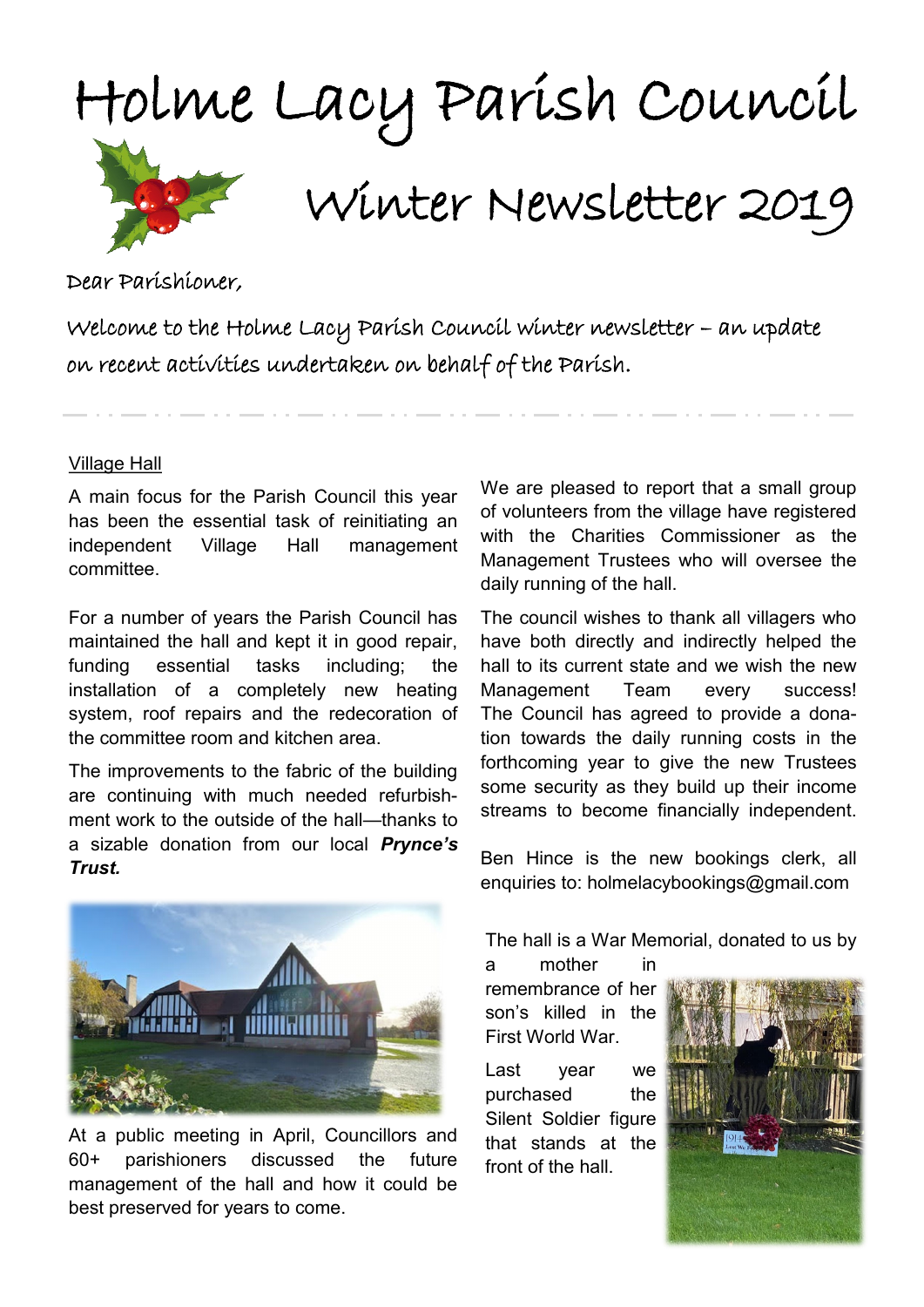

Dear Parishioner,

Welcome to the Holme Lacy Parish Council winter newsletter – an update on recent activities undertaken on behalf of the Parish.

## Village Hall

A main focus for the Parish Council this year has been the essential task of reinitiating an independent Village Hall management committee.

For a number of years the Parish Council has maintained the hall and kept it in good repair, funding essential tasks including; the installation of a completely new heating system, roof repairs and the redecoration of the committee room and kitchen area.

The improvements to the fabric of the building are continuing with much needed refurbishment work to the outside of the hall—thanks to a sizable donation from our local *Prynce's Trust.* 



At a public meeting in April, Councillors and 60+ parishioners discussed the future management of the hall and how it could be best preserved for years to come.

We are pleased to report that a small group of volunteers from the village have registered with the Charities Commissioner as the Management Trustees who will oversee the daily running of the hall.

The council wishes to thank all villagers who have both directly and indirectly helped the hall to its current state and we wish the new Management Team every success! The Council has agreed to provide a donation towards the daily running costs in the forthcoming year to give the new Trustees some security as they build up their income streams to become financially independent.

Ben Hince is the new bookings clerk, all enquiries to: holmelacybookings@gmail.com

The hall is a War Memorial, donated to us by a mother in

remembrance of her son's killed in the First World War.

Last year we purchased the Silent Soldier figure that stands at the front of the hall